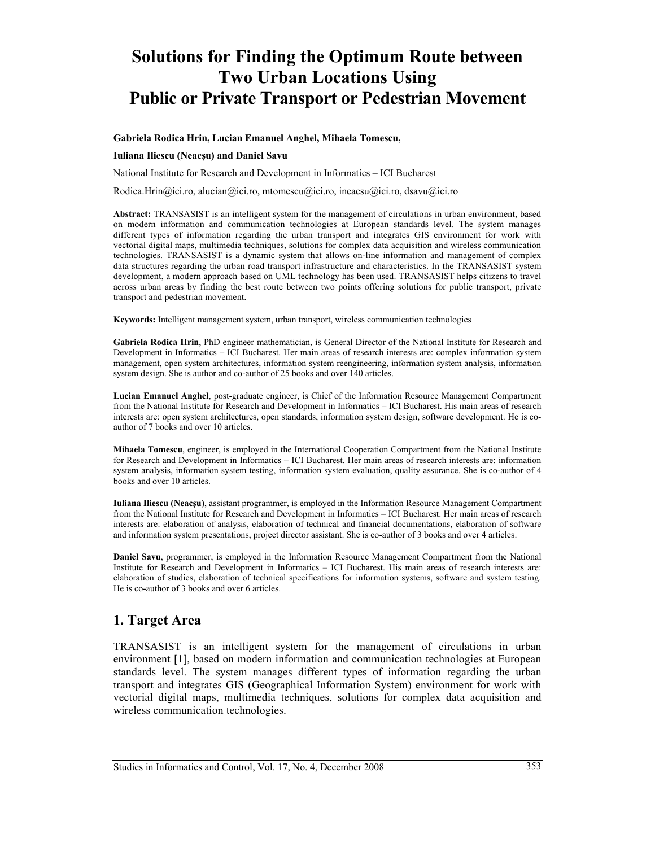# **Solutions for Finding the Optimum Route between Two Urban Locations Using Public or Private Transport or Pedestrian Movement**

#### **Gabriela Rodica Hrin, Lucian Emanuel Anghel, Mihaela Tomescu,**

#### **Iuliana Iliescu (Neacşu) and Daniel Savu**

National Institute for Research and Development in Informatics – ICI Bucharest

Rodica.Hrin@ici.ro, alucian@ici.ro, mtomescu@ici.ro, ineacsu@ici.ro, dsavu@ici.ro

**Abstract:** TRANSASIST is an intelligent system for the management of circulations in urban environment, based on modern information and communication technologies at European standards level. The system manages different types of information regarding the urban transport and integrates GIS environment for work with vectorial digital maps, multimedia techniques, solutions for complex data acquisition and wireless communication technologies. TRANSASIST is a dynamic system that allows on-line information and management of complex data structures regarding the urban road transport infrastructure and characteristics. In the TRANSASIST system development, a modern approach based on UML technology has been used. TRANSASIST helps citizens to travel across urban areas by finding the best route between two points offering solutions for public transport, private transport and pedestrian movement.

**Keywords:** Intelligent management system, urban transport, wireless communication technologies

**Gabriela Rodica Hrin**, PhD engineer mathematician, is General Director of the National Institute for Research and Development in Informatics – ICI Bucharest. Her main areas of research interests are: complex information system management, open system architectures, information system reengineering, information system analysis, information system design. She is author and co-author of 25 books and over 140 articles.

**Lucian Emanuel Anghel**, post-graduate engineer, is Chief of the Information Resource Management Compartment from the National Institute for Research and Development in Informatics – ICI Bucharest. His main areas of research interests are: open system architectures, open standards, information system design, software development. He is coauthor of 7 books and over 10 articles.

**Mihaela Tomescu**, engineer, is employed in the International Cooperation Compartment from the National Institute for Research and Development in Informatics – ICI Bucharest. Her main areas of research interests are: information system analysis, information system testing, information system evaluation, quality assurance. She is co-author of 4 books and over 10 articles.

**Iuliana Iliescu (Neacşu)**, assistant programmer, is employed in the Information Resource Management Compartment from the National Institute for Research and Development in Informatics – ICI Bucharest. Her main areas of research interests are: elaboration of analysis, elaboration of technical and financial documentations, elaboration of software and information system presentations, project director assistant. She is co-author of 3 books and over 4 articles.

**Daniel Savu**, programmer, is employed in the Information Resource Management Compartment from the National Institute for Research and Development in Informatics – ICI Bucharest. His main areas of research interests are: elaboration of studies, elaboration of technical specifications for information systems, software and system testing. He is co-author of 3 books and over 6 articles.

#### **1. Target Area**

TRANSASIST is an intelligent system for the management of circulations in urban environment [1], based on modern information and communication technologies at European standards level. The system manages different types of information regarding the urban transport and integrates GIS (Geographical Information System) environment for work with vectorial digital maps, multimedia techniques, solutions for complex data acquisition and wireless communication technologies.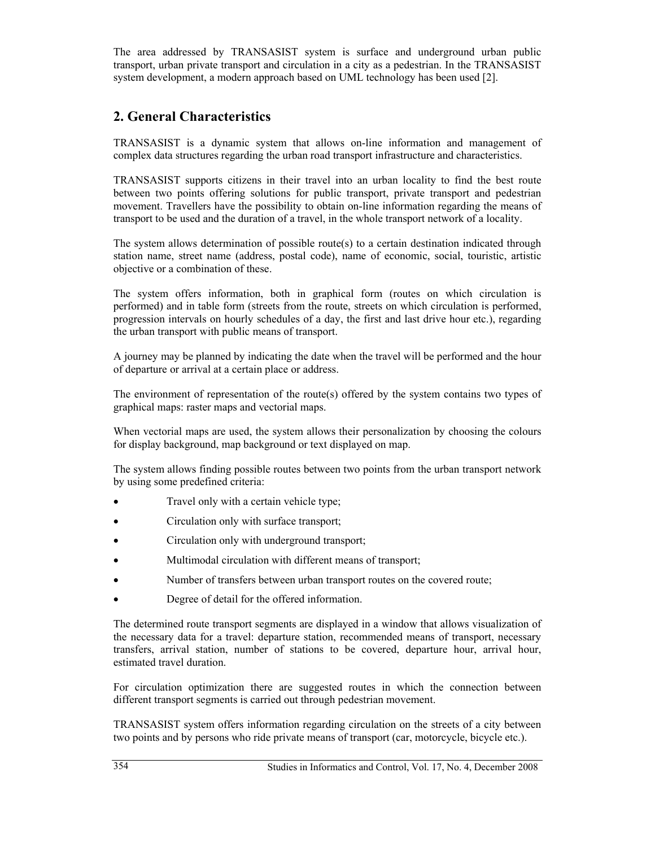The area addressed by TRANSASIST system is surface and underground urban public transport, urban private transport and circulation in a city as a pedestrian. In the TRANSASIST system development, a modern approach based on UML technology has been used [2].

# **2. General Characteristics**

TRANSASIST is a dynamic system that allows on-line information and management of complex data structures regarding the urban road transport infrastructure and characteristics.

TRANSASIST supports citizens in their travel into an urban locality to find the best route between two points offering solutions for public transport, private transport and pedestrian movement. Travellers have the possibility to obtain on-line information regarding the means of transport to be used and the duration of a travel, in the whole transport network of a locality.

The system allows determination of possible route(s) to a certain destination indicated through station name, street name (address, postal code), name of economic, social, touristic, artistic objective or a combination of these.

The system offers information, both in graphical form (routes on which circulation is performed) and in table form (streets from the route, streets on which circulation is performed, progression intervals on hourly schedules of a day, the first and last drive hour etc.), regarding the urban transport with public means of transport.

A journey may be planned by indicating the date when the travel will be performed and the hour of departure or arrival at a certain place or address.

The environment of representation of the route(s) offered by the system contains two types of graphical maps: raster maps and vectorial maps.

When vectorial maps are used, the system allows their personalization by choosing the colours for display background, map background or text displayed on map.

The system allows finding possible routes between two points from the urban transport network by using some predefined criteria:

- Travel only with a certain vehicle type;
- Circulation only with surface transport;
- Circulation only with underground transport;
- Multimodal circulation with different means of transport;
- Number of transfers between urban transport routes on the covered route;
- Degree of detail for the offered information.

The determined route transport segments are displayed in a window that allows visualization of the necessary data for a travel: departure station, recommended means of transport, necessary transfers, arrival station, number of stations to be covered, departure hour, arrival hour, estimated travel duration.

For circulation optimization there are suggested routes in which the connection between different transport segments is carried out through pedestrian movement.

TRANSASIST system offers information regarding circulation on the streets of a city between two points and by persons who ride private means of transport (car, motorcycle, bicycle etc.).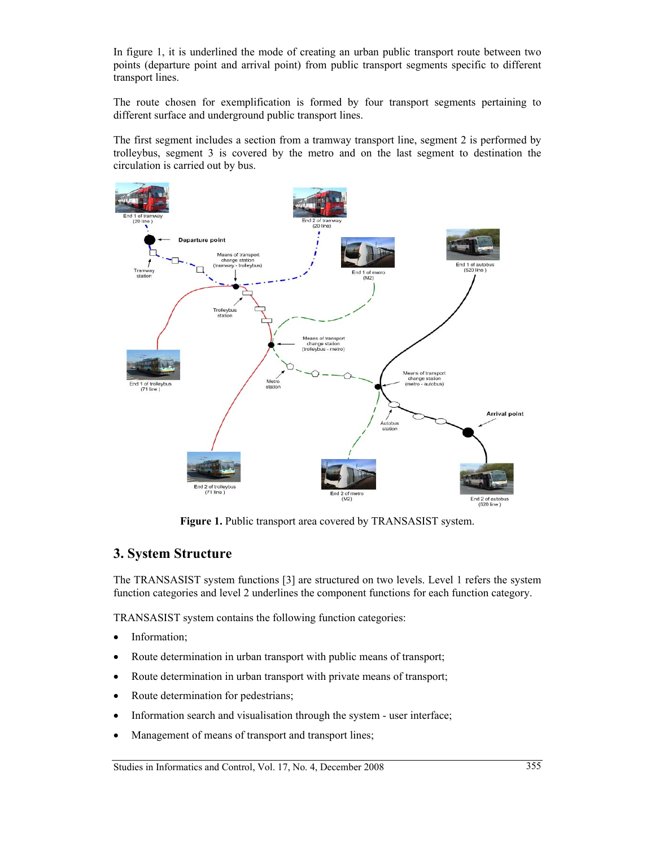In figure 1, it is underlined the mode of creating an urban public transport route between two points (departure point and arrival point) from public transport segments specific to different transport lines.

The route chosen for exemplification is formed by four transport segments pertaining to different surface and underground public transport lines.

The first segment includes a section from a tramway transport line, segment 2 is performed by trolleybus, segment 3 is covered by the metro and on the last segment to destination the circulation is carried out by bus.



**Figure 1.** Public transport area covered by TRANSASIST system.

#### **3. System Structure**

The TRANSASIST system functions [3] are structured on two levels. Level 1 refers the system function categories and level 2 underlines the component functions for each function category.

TRANSASIST system contains the following function categories:

- Information;
- Route determination in urban transport with public means of transport;
- Route determination in urban transport with private means of transport;
- Route determination for pedestrians;
- Information search and visualisation through the system user interface;
- Management of means of transport and transport lines;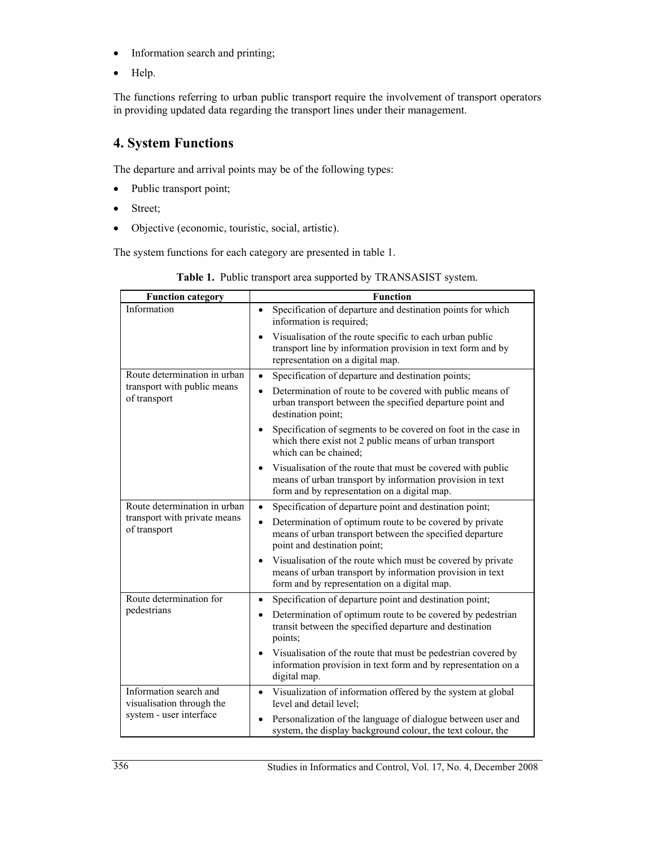- Information search and printing;
- Help.

The functions referring to urban public transport require the involvement of transport operators in providing updated data regarding the transport lines under their management.

# **4. System Functions**

The departure and arrival points may be of the following types:

- Public transport point;
- Street;
- Objective (economic, touristic, social, artistic).

The system functions for each category are presented in table 1.

| <b>Function category</b>                                                       | <b>Function</b>                                                                                                                                                                       |
|--------------------------------------------------------------------------------|---------------------------------------------------------------------------------------------------------------------------------------------------------------------------------------|
| Information                                                                    | Specification of departure and destination points for which<br>$\bullet$<br>information is required;                                                                                  |
|                                                                                | Visualisation of the route specific to each urban public<br>$\bullet$<br>transport line by information provision in text form and by<br>representation on a digital map.              |
| Route determination in urban                                                   | Specification of departure and destination points;<br>$\bullet$                                                                                                                       |
| transport with public means<br>of transport                                    | Determination of route to be covered with public means of<br>$\bullet$<br>urban transport between the specified departure point and<br>destination point;                             |
|                                                                                | Specification of segments to be covered on foot in the case in<br>$\bullet$<br>which there exist not 2 public means of urban transport<br>which can be chained;                       |
|                                                                                | Visualisation of the route that must be covered with public<br>$\bullet$<br>means of urban transport by information provision in text<br>form and by representation on a digital map. |
| Route determination in urban<br>transport with private means<br>of transport   | Specification of departure point and destination point;<br>$\bullet$                                                                                                                  |
|                                                                                | Determination of optimum route to be covered by private<br>$\bullet$<br>means of urban transport between the specified departure<br>point and destination point;                      |
|                                                                                | Visualisation of the route which must be covered by private<br>$\bullet$<br>means of urban transport by information provision in text<br>form and by representation on a digital map. |
| Route determination for<br>pedestrians                                         | Specification of departure point and destination point;<br>$\bullet$                                                                                                                  |
|                                                                                | Determination of optimum route to be covered by pedestrian<br>$\bullet$<br>transit between the specified departure and destination<br>points;                                         |
|                                                                                | Visualisation of the route that must be pedestrian covered by<br>$\bullet$<br>information provision in text form and by representation on a<br>digital map.                           |
| Information search and<br>visualisation through the<br>system - user interface | Visualization of information offered by the system at global<br>$\bullet$<br>level and detail level:                                                                                  |
|                                                                                | Personalization of the language of dialogue between user and<br>$\bullet$<br>system, the display background colour, the text colour, the                                              |

|  |  | Table 1. Public transport area supported by TRANSASIST system. |  |  |
|--|--|----------------------------------------------------------------|--|--|
|--|--|----------------------------------------------------------------|--|--|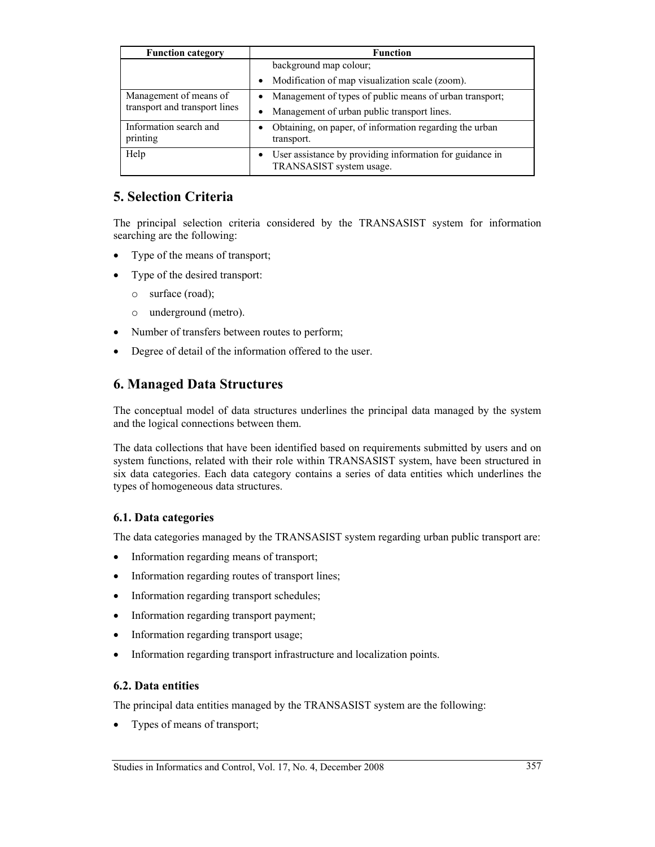| <b>Function category</b>                                | <b>Function</b>                                                                                   |
|---------------------------------------------------------|---------------------------------------------------------------------------------------------------|
|                                                         | background map colour;                                                                            |
|                                                         | Modification of map visualization scale (zoom).<br>$\bullet$                                      |
| Management of means of<br>transport and transport lines | Management of types of public means of urban transport;<br>٠                                      |
|                                                         | Management of urban public transport lines.<br>٠                                                  |
| Information search and<br>printing                      | Obtaining, on paper, of information regarding the urban<br>٠<br>transport.                        |
| Help                                                    | User assistance by providing information for guidance in<br>$\bullet$<br>TRANSASIST system usage. |

#### **5. Selection Criteria**

The principal selection criteria considered by the TRANSASIST system for information searching are the following:

- Type of the means of transport;
- Type of the desired transport:
	- o surface (road);
	- o underground (metro).
- Number of transfers between routes to perform;
- Degree of detail of the information offered to the user.

### **6. Managed Data Structures**

The conceptual model of data structures underlines the principal data managed by the system and the logical connections between them.

The data collections that have been identified based on requirements submitted by users and on system functions, related with their role within TRANSASIST system, have been structured in six data categories. Each data category contains a series of data entities which underlines the types of homogeneous data structures.

#### **6.1. Data categories**

The data categories managed by the TRANSASIST system regarding urban public transport are:

- Information regarding means of transport;
- Information regarding routes of transport lines;
- Information regarding transport schedules;
- Information regarding transport payment;
- Information regarding transport usage;
- Information regarding transport infrastructure and localization points.

#### **6.2. Data entities**

The principal data entities managed by the TRANSASIST system are the following:

• Types of means of transport;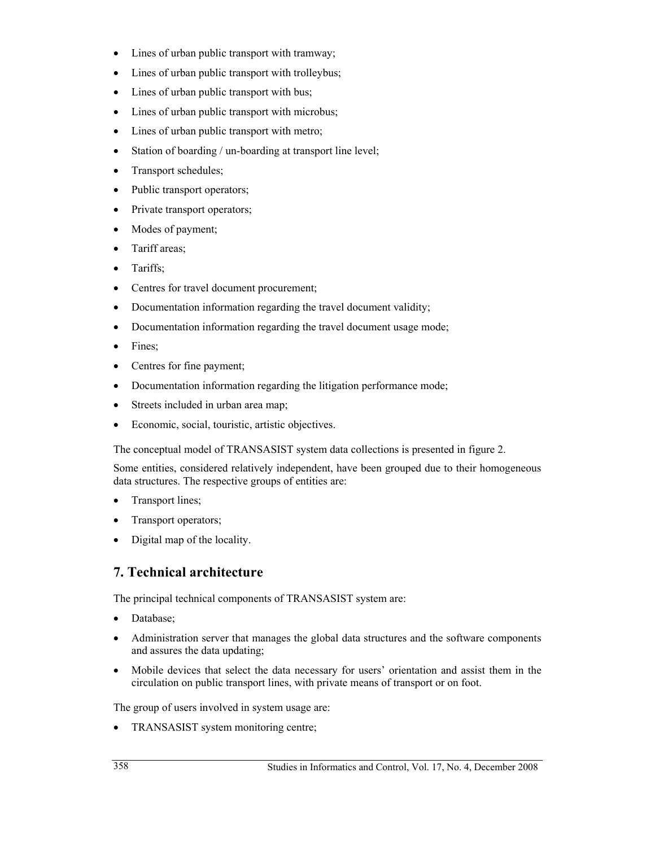- Lines of urban public transport with tramway;
- Lines of urban public transport with trolleybus;
- Lines of urban public transport with bus;
- Lines of urban public transport with microbus;
- Lines of urban public transport with metro;
- Station of boarding / un-boarding at transport line level;
- Transport schedules;
- Public transport operators;
- Private transport operators;
- Modes of payment;
- Tariff areas;
- Tariffs:
- Centres for travel document procurement;
- Documentation information regarding the travel document validity;
- Documentation information regarding the travel document usage mode;
- Fines;
- Centres for fine payment;
- Documentation information regarding the litigation performance mode;
- Streets included in urban area map;
- Economic, social, touristic, artistic objectives.

The conceptual model of TRANSASIST system data collections is presented in figure 2.

Some entities, considered relatively independent, have been grouped due to their homogeneous data structures. The respective groups of entities are:

- Transport lines;
- Transport operators;
- Digital map of the locality.

# **7. Technical architecture**

The principal technical components of TRANSASIST system are:

- Database;
- Administration server that manages the global data structures and the software components and assures the data updating;
- Mobile devices that select the data necessary for users' orientation and assist them in the circulation on public transport lines, with private means of transport or on foot.

The group of users involved in system usage are:

• TRANSASIST system monitoring centre;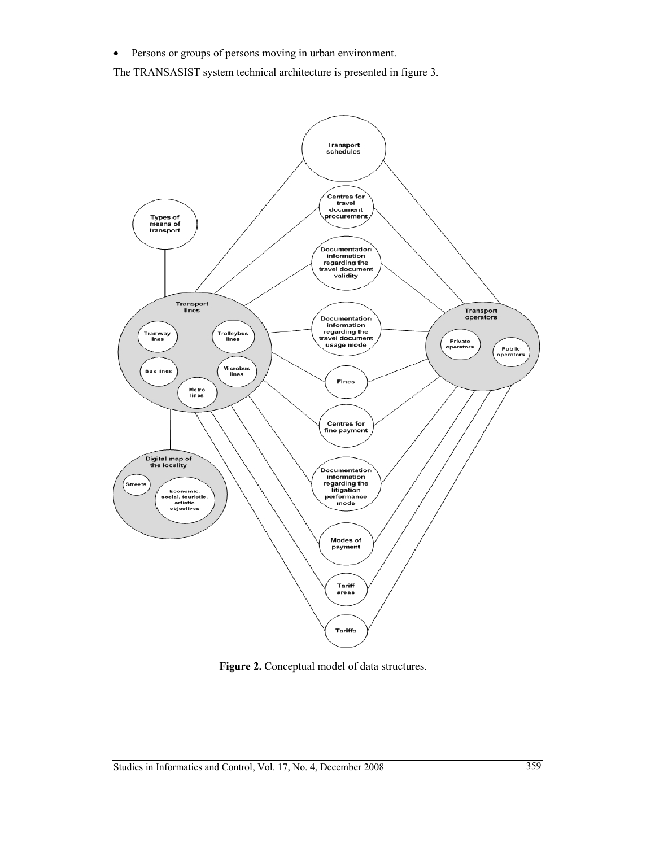• Persons or groups of persons moving in urban environment.

The TRANSASIST system technical architecture is presented in figure 3.



**Figure 2.** Conceptual model of data structures.